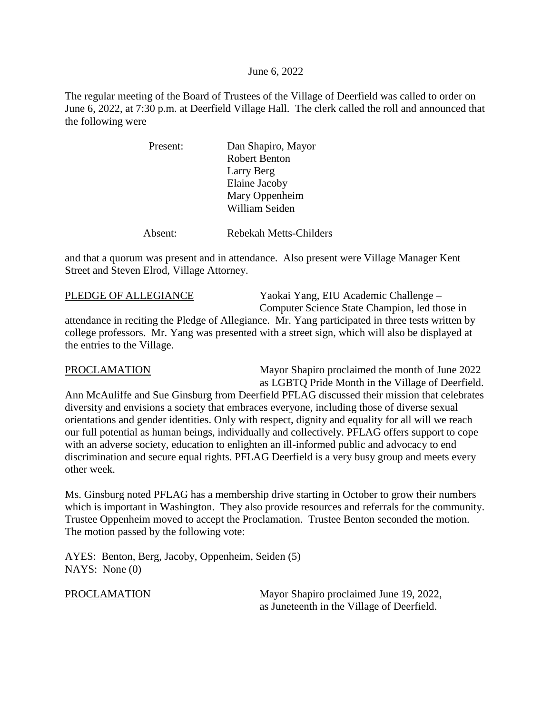June 6, 2022

The regular meeting of the Board of Trustees of the Village of Deerfield was called to order on June 6, 2022, at 7:30 p.m. at Deerfield Village Hall. The clerk called the roll and announced that the following were

| Dan Shapiro, Mayor |
|--------------------|
| Robert Benton      |
| Larry Berg         |
| Elaine Jacoby      |
| Mary Oppenheim     |
| William Seiden     |
|                    |
|                    |

Absent: Rebekah Metts-Childers

and that a quorum was present and in attendance. Also present were Village Manager Kent Street and Steven Elrod, Village Attorney.

PLEDGE OF ALLEGIANCE Yaokai Yang, EIU Academic Challenge – Computer Science State Champion, led those in attendance in reciting the Pledge of Allegiance. Mr. Yang participated in three tests written by college professors. Mr. Yang was presented with a street sign, which will also be displayed at the entries to the Village.

PROCLAMATION Mayor Shapiro proclaimed the month of June 2022 as LGBTQ Pride Month in the Village of Deerfield.

Ann McAuliffe and Sue Ginsburg from Deerfield PFLAG discussed their mission that celebrates diversity and envisions a society that embraces everyone, including those of diverse sexual orientations and gender identities. Only with respect, dignity and equality for all will we reach our full potential as human beings, individually and collectively. PFLAG offers support to cope with an adverse society, education to enlighten an ill-informed public and advocacy to end discrimination and secure equal rights. PFLAG Deerfield is a very busy group and meets every other week.

Ms. Ginsburg noted PFLAG has a membership drive starting in October to grow their numbers which is important in Washington. They also provide resources and referrals for the community. Trustee Oppenheim moved to accept the Proclamation. Trustee Benton seconded the motion. The motion passed by the following vote:

AYES: Benton, Berg, Jacoby, Oppenheim, Seiden (5) NAYS: None (0)

PROCLAMATION Mayor Shapiro proclaimed June 19, 2022, as Juneteenth in the Village of Deerfield.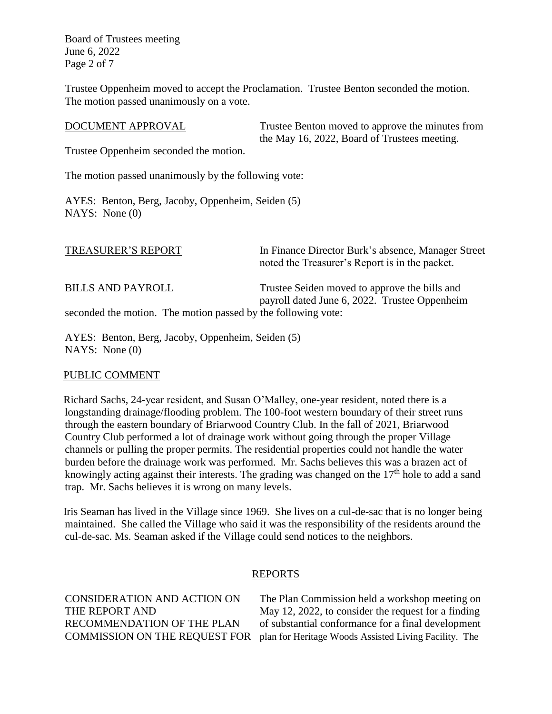Board of Trustees meeting June 6, 2022 Page 2 of 7

Trustee Oppenheim moved to accept the Proclamation. Trustee Benton seconded the motion. The motion passed unanimously on a vote.

| DOCUMENT APPROVAL                                                                         | Trustee Benton moved to approve the minutes from<br>the May 16, 2022, Board of Trustees meeting.     |
|-------------------------------------------------------------------------------------------|------------------------------------------------------------------------------------------------------|
| Trustee Oppenheim seconded the motion.                                                    |                                                                                                      |
| The motion passed unanimously by the following vote:                                      |                                                                                                      |
| AYES: Benton, Berg, Jacoby, Oppenheim, Seiden (5)<br>NAYS: None $(0)$                     |                                                                                                      |
| TREASURER'S REPORT                                                                        | In Finance Director Burk's absence, Manager Street<br>noted the Treasurer's Report is in the packet. |
| <b>BILLS AND PAYROLL</b><br>seconded the motion. The motion passed by the following vote: | Trustee Seiden moved to approve the bills and<br>payroll dated June 6, 2022. Trustee Oppenheim       |
|                                                                                           |                                                                                                      |

AYES: Benton, Berg, Jacoby, Oppenheim, Seiden (5) NAYS: None (0)

### PUBLIC COMMENT

Richard Sachs, 24-year resident, and Susan O'Malley, one-year resident, noted there is a longstanding drainage/flooding problem. The 100-foot western boundary of their street runs through the eastern boundary of Briarwood Country Club. In the fall of 2021, Briarwood Country Club performed a lot of drainage work without going through the proper Village channels or pulling the proper permits. The residential properties could not handle the water burden before the drainage work was performed. Mr. Sachs believes this was a brazen act of knowingly acting against their interests. The grading was changed on the  $17<sup>th</sup>$  hole to add a sand trap. Mr. Sachs believes it is wrong on many levels.

Iris Seaman has lived in the Village since 1969. She lives on a cul-de-sac that is no longer being maintained. She called the Village who said it was the responsibility of the residents around the cul-de-sac. Ms. Seaman asked if the Village could send notices to the neighbors.

# REPORTS

CONSIDERATION AND ACTION ON The Plan Commission held a workshop meeting on THE REPORT AND May 12, 2022, to consider the request for a finding RECOMMENDATION OF THE PLAN of substantial conformance for a final development COMMISSION ON THE REQUEST FOR plan for Heritage Woods Assisted Living Facility. The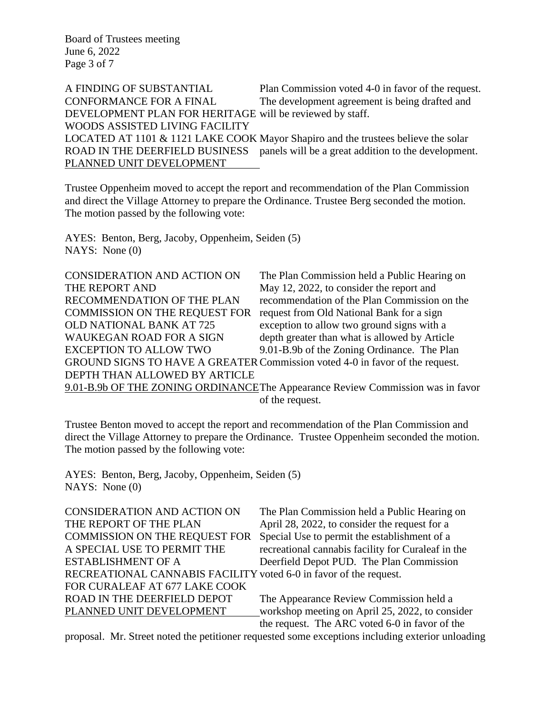Board of Trustees meeting June 6, 2022 Page 3 of 7

A FINDING OF SUBSTANTIAL Plan Commission voted 4-0 in favor of the request. CONFORMANCE FOR A FINAL The development agreement is being drafted and DEVELOPMENT PLAN FOR HERITAGE will be reviewed by staff. WOODS ASSISTED LIVING FACILITY LOCATED AT 1101 & 1121 LAKE COOK Mayor Shapiro and the trustees believe the solar ROAD IN THE DEERFIELD BUSINESS panels will be a great addition to the development. PLANNED UNIT DEVELOPMENT

Trustee Oppenheim moved to accept the report and recommendation of the Plan Commission and direct the Village Attorney to prepare the Ordinance. Trustee Berg seconded the motion. The motion passed by the following vote:

AYES: Benton, Berg, Jacoby, Oppenheim, Seiden (5) NAYS: None (0)

| CONSIDERATION AND ACTION ON          | The Plan Commission held a Public Hearing on                                   |
|--------------------------------------|--------------------------------------------------------------------------------|
| THE REPORT AND                       | May 12, 2022, to consider the report and                                       |
| RECOMMENDATION OF THE PLAN           | recommendation of the Plan Commission on the                                   |
| <b>COMMISSION ON THE REQUEST FOR</b> | request from Old National Bank for a sign                                      |
| <b>OLD NATIONAL BANK AT 725</b>      | exception to allow two ground signs with a                                     |
| <b>WAUKEGAN ROAD FOR A SIGN</b>      | depth greater than what is allowed by Article                                  |
| <b>EXCEPTION TO ALLOW TWO</b>        | 9.01-B.9b of the Zoning Ordinance. The Plan                                    |
|                                      | GROUND SIGNS TO HAVE A GREATER Commission voted 4-0 in favor of the request.   |
| DEPTH THAN ALLOWED BY ARTICLE        |                                                                                |
|                                      | 9.01-B.9b OF THE ZONING ORDINANCEThe Appearance Review Commission was in favor |

of the request.

Trustee Benton moved to accept the report and recommendation of the Plan Commission and direct the Village Attorney to prepare the Ordinance. Trustee Oppenheim seconded the motion. The motion passed by the following vote:

AYES: Benton, Berg, Jacoby, Oppenheim, Seiden (5) NAYS: None (0)

| <b>CONSIDERATION AND ACTION ON</b>                                | The Plan Commission held a Public Hearing on       |
|-------------------------------------------------------------------|----------------------------------------------------|
| THE REPORT OF THE PLAN                                            | April 28, 2022, to consider the request for a      |
| <b>COMMISSION ON THE REQUEST FOR</b>                              | Special Use to permit the establishment of a       |
| A SPECIAL USE TO PERMIT THE                                       | recreational cannabis facility for Curaleaf in the |
| <b>ESTABLISHMENT OF A</b>                                         | Deerfield Depot PUD. The Plan Commission           |
| RECREATIONAL CANNABIS FACILITY voted 6-0 in favor of the request. |                                                    |
| FOR CURALEAF AT 677 LAKE COOK                                     |                                                    |
| ROAD IN THE DEERFIELD DEPOT                                       | The Appearance Review Commission held a            |
| PLANNED UNIT DEVELOPMENT                                          | workshop meeting on April 25, 2022, to consider    |
|                                                                   | the request. The ARC voted 6-0 in favor of the     |

proposal. Mr. Street noted the petitioner requested some exceptions including exterior unloading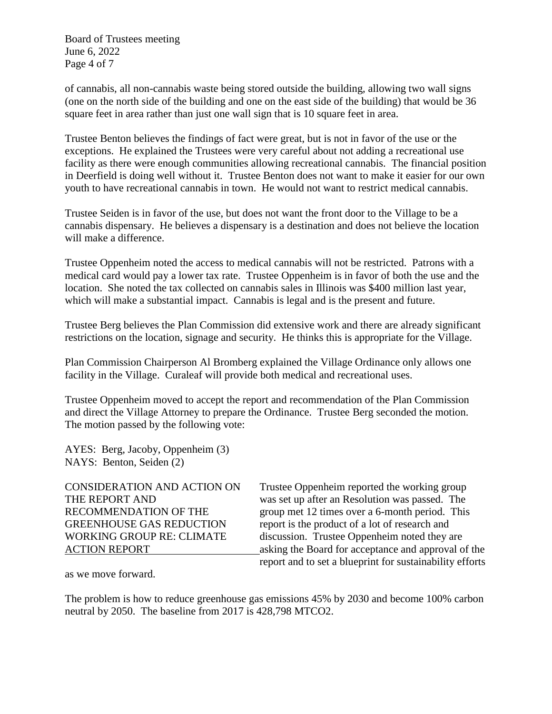Board of Trustees meeting June 6, 2022 Page 4 of 7

of cannabis, all non-cannabis waste being stored outside the building, allowing two wall signs (one on the north side of the building and one on the east side of the building) that would be 36 square feet in area rather than just one wall sign that is 10 square feet in area.

Trustee Benton believes the findings of fact were great, but is not in favor of the use or the exceptions. He explained the Trustees were very careful about not adding a recreational use facility as there were enough communities allowing recreational cannabis. The financial position in Deerfield is doing well without it. Trustee Benton does not want to make it easier for our own youth to have recreational cannabis in town. He would not want to restrict medical cannabis.

Trustee Seiden is in favor of the use, but does not want the front door to the Village to be a cannabis dispensary. He believes a dispensary is a destination and does not believe the location will make a difference.

Trustee Oppenheim noted the access to medical cannabis will not be restricted. Patrons with a medical card would pay a lower tax rate. Trustee Oppenheim is in favor of both the use and the location. She noted the tax collected on cannabis sales in Illinois was \$400 million last year, which will make a substantial impact. Cannabis is legal and is the present and future.

Trustee Berg believes the Plan Commission did extensive work and there are already significant restrictions on the location, signage and security. He thinks this is appropriate for the Village.

Plan Commission Chairperson Al Bromberg explained the Village Ordinance only allows one facility in the Village. Curaleaf will provide both medical and recreational uses.

Trustee Oppenheim moved to accept the report and recommendation of the Plan Commission and direct the Village Attorney to prepare the Ordinance. Trustee Berg seconded the motion. The motion passed by the following vote:

AYES: Berg, Jacoby, Oppenheim (3) NAYS: Benton, Seiden (2)

CONSIDERATION AND ACTION ON Trustee Oppenheim reported the working group THE REPORT AND was set up after an Resolution was passed. The RECOMMENDATION OF THE group met 12 times over a 6-month period. This GREENHOUSE GAS REDUCTION report is the product of a lot of research and WORKING GROUP RE: CLIMATE discussion. Trustee Oppenheim noted they are ACTION REPORT asking the Board for acceptance and approval of the report and to set a blueprint for sustainability efforts

as we move forward.

The problem is how to reduce greenhouse gas emissions 45% by 2030 and become 100% carbon neutral by 2050. The baseline from 2017 is 428,798 MTCO2.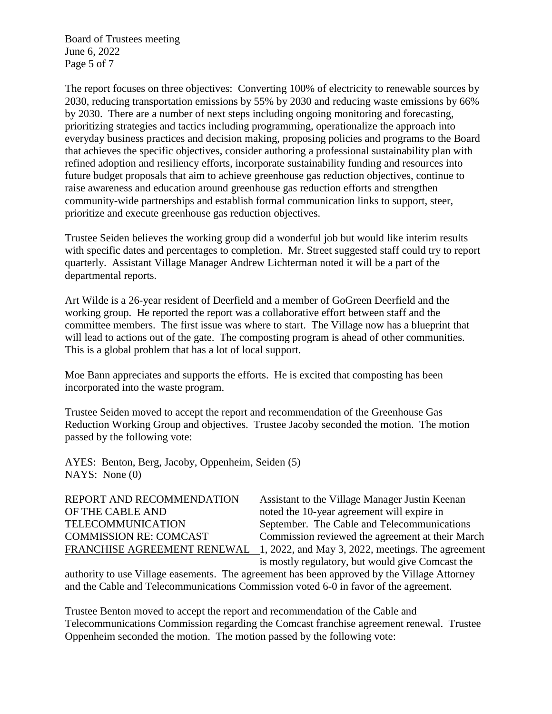Board of Trustees meeting June 6, 2022 Page 5 of 7

The report focuses on three objectives: Converting 100% of electricity to renewable sources by 2030, reducing transportation emissions by 55% by 2030 and reducing waste emissions by 66% by 2030. There are a number of next steps including ongoing monitoring and forecasting, prioritizing strategies and tactics including programming, operationalize the approach into everyday business practices and decision making, proposing policies and programs to the Board that achieves the specific objectives, consider authoring a professional sustainability plan with refined adoption and resiliency efforts, incorporate sustainability funding and resources into future budget proposals that aim to achieve greenhouse gas reduction objectives, continue to raise awareness and education around greenhouse gas reduction efforts and strengthen community-wide partnerships and establish formal communication links to support, steer, prioritize and execute greenhouse gas reduction objectives.

Trustee Seiden believes the working group did a wonderful job but would like interim results with specific dates and percentages to completion. Mr. Street suggested staff could try to report quarterly. Assistant Village Manager Andrew Lichterman noted it will be a part of the departmental reports.

Art Wilde is a 26-year resident of Deerfield and a member of GoGreen Deerfield and the working group. He reported the report was a collaborative effort between staff and the committee members. The first issue was where to start. The Village now has a blueprint that will lead to actions out of the gate. The composting program is ahead of other communities. This is a global problem that has a lot of local support.

Moe Bann appreciates and supports the efforts. He is excited that composting has been incorporated into the waste program.

Trustee Seiden moved to accept the report and recommendation of the Greenhouse Gas Reduction Working Group and objectives. Trustee Jacoby seconded the motion. The motion passed by the following vote:

AYES: Benton, Berg, Jacoby, Oppenheim, Seiden (5) NAYS: None (0)

OF THE CABLE AND noted the 10-year agreement will expire in

REPORT AND RECOMMENDATION Assistant to the Village Manager Justin Keenan TELECOMMUNICATION September. The Cable and Telecommunications COMMISSION RE: COMCAST Commission reviewed the agreement at their March FRANCHISE AGREEMENT RENEWAL 1, 2022, and May 3, 2022, meetings. The agreement is mostly regulatory, but would give Comcast the

authority to use Village easements. The agreement has been approved by the Village Attorney and the Cable and Telecommunications Commission voted 6-0 in favor of the agreement.

Trustee Benton moved to accept the report and recommendation of the Cable and Telecommunications Commission regarding the Comcast franchise agreement renewal. Trustee Oppenheim seconded the motion. The motion passed by the following vote: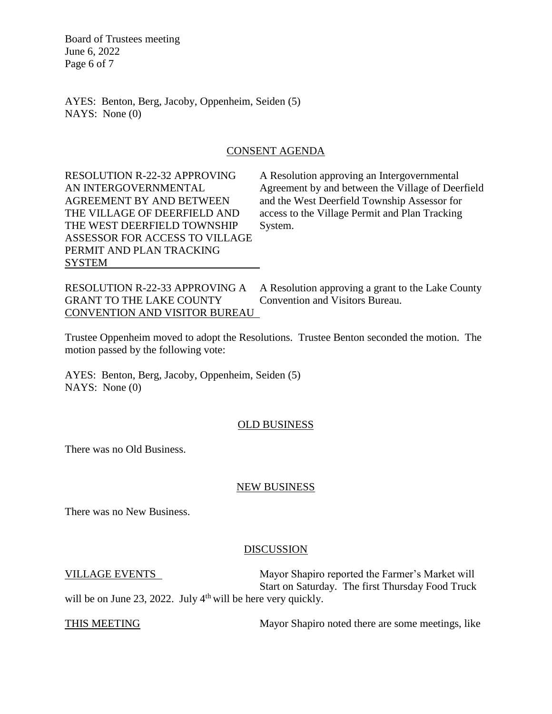Board of Trustees meeting June 6, 2022 Page 6 of 7

AYES: Benton, Berg, Jacoby, Oppenheim, Seiden (5) NAYS: None (0)

### CONSENT AGENDA

THE WEST DEERFIELD TOWNSHIP System. ASSESSOR FOR ACCESS TO VILLAGE PERMIT AND PLAN TRACKING **SYSTEM** 

RESOLUTION R-22-32 APPROVING A Resolution approving an Intergovernmental AN INTERGOVERNMENTAL Agreement by and between the Village of Deerfield AGREEMENT BY AND BETWEEN and the West Deerfield Township Assessor for THE VILLAGE OF DEERFIELD AND access to the Village Permit and Plan Tracking

RESOLUTION R-22-33 APPROVING A A Resolution approving a grant to the Lake County<br>GRANT TO THE LAKE COUNTY Convention and Visitors Bureau GRANT TO THE LAKE COUNTY CONVENTION AND VISITOR BUREAU

Trustee Oppenheim moved to adopt the Resolutions. Trustee Benton seconded the motion. The motion passed by the following vote:

AYES: Benton, Berg, Jacoby, Oppenheim, Seiden (5) NAYS: None (0)

# OLD BUSINESS

There was no Old Business.

### NEW BUSINESS

There was no New Business.

# DISCUSSION

VILLAGE EVENTS Mayor Shapiro reported the Farmer's Market will Start on Saturday. The first Thursday Food Truck will be on June 23, 2022. July  $4<sup>th</sup>$  will be here very quickly.

THIS MEETING Mayor Shapiro noted there are some meetings, like